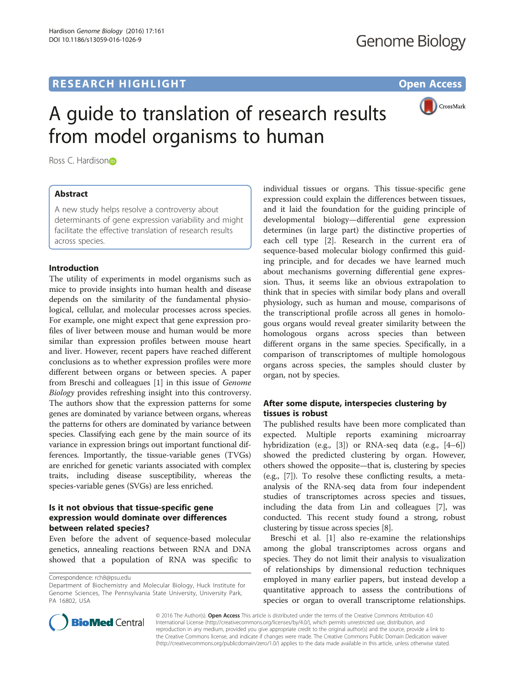## **RESEARCH HIGHLIGHT** THE OPEN ACCESS OPEN ACCESS



# A guide to translation of research results from model organisms to human

Ross C. Hardison®

## Abstract

A new study helps resolve a controversy about determinants of gene expression variability and might facilitate the effective translation of research results across species.

### Introduction

The utility of experiments in model organisms such as mice to provide insights into human health and disease depends on the similarity of the fundamental physiological, cellular, and molecular processes across species. For example, one might expect that gene expression profiles of liver between mouse and human would be more similar than expression profiles between mouse heart and liver. However, recent papers have reached different conclusions as to whether expression profiles were more different between organs or between species. A paper from Breschi and colleagues [[1\]](#page-2-0) in this issue of Genome Biology provides refreshing insight into this controversy. The authors show that the expression patterns for some genes are dominated by variance between organs, whereas the patterns for others are dominated by variance between species. Classifying each gene by the main source of its variance in expression brings out important functional differences. Importantly, the tissue-variable genes (TVGs) are enriched for genetic variants associated with complex traits, including disease susceptibility, whereas the species-variable genes (SVGs) are less enriched.

## Is it not obvious that tissue-specific gene expression would dominate over differences between related species?

Even before the advent of sequence-based molecular genetics, annealing reactions between RNA and DNA showed that a population of RNA was specific to

Correspondence: [rch8@psu.edu](mailto:rch8@psu.edu)

individual tissues or organs. This tissue-specific gene expression could explain the differences between tissues, and it laid the foundation for the guiding principle of developmental biology—differential gene expression determines (in large part) the distinctive properties of each cell type [\[2](#page-2-0)]. Research in the current era of sequence-based molecular biology confirmed this guiding principle, and for decades we have learned much about mechanisms governing differential gene expression. Thus, it seems like an obvious extrapolation to think that in species with similar body plans and overall physiology, such as human and mouse, comparisons of the transcriptional profile across all genes in homologous organs would reveal greater similarity between the homologous organs across species than between different organs in the same species. Specifically, in a comparison of transcriptomes of multiple homologous organs across species, the samples should cluster by organ, not by species.

## After some dispute, interspecies clustering by tissues is robust

The published results have been more complicated than expected. Multiple reports examining microarray hybridization (e.g., [[3\]](#page-2-0)) or RNA-seq data (e.g., [\[4](#page-2-0)–[6](#page-2-0)]) showed the predicted clustering by organ. However, others showed the opposite—that is, clustering by species (e.g., [\[7](#page-2-0)]). To resolve these conflicting results, a metaanalysis of the RNA-seq data from four independent studies of transcriptomes across species and tissues, including the data from Lin and colleagues [\[7](#page-2-0)], was conducted. This recent study found a strong, robust clustering by tissue across species [[8](#page-2-0)].

Breschi et al. [\[1](#page-2-0)] also re-examine the relationships among the global transcriptomes across organs and species. They do not limit their analysis to visualization of relationships by dimensional reduction techniques employed in many earlier papers, but instead develop a quantitative approach to assess the contributions of species or organ to overall transcriptome relationships.



© 2016 The Author(s). Open Access This article is distributed under the terms of the Creative Commons Attribution 4.0 International License [\(http://creativecommons.org/licenses/by/4.0/](http://creativecommons.org/licenses/by/4.0/)), which permits unrestricted use, distribution, and reproduction in any medium, provided you give appropriate credit to the original author(s) and the source, provide a link to the Creative Commons license, and indicate if changes were made. The Creative Commons Public Domain Dedication waiver [\(http://creativecommons.org/publicdomain/zero/1.0/](http://creativecommons.org/publicdomain/zero/1.0/)) applies to the data made available in this article, unless otherwise stated.

Department of Biochemistry and Molecular Biology, Huck Institute for Genome Sciences, The Pennsylvania State University, University Park, PA 16802, USA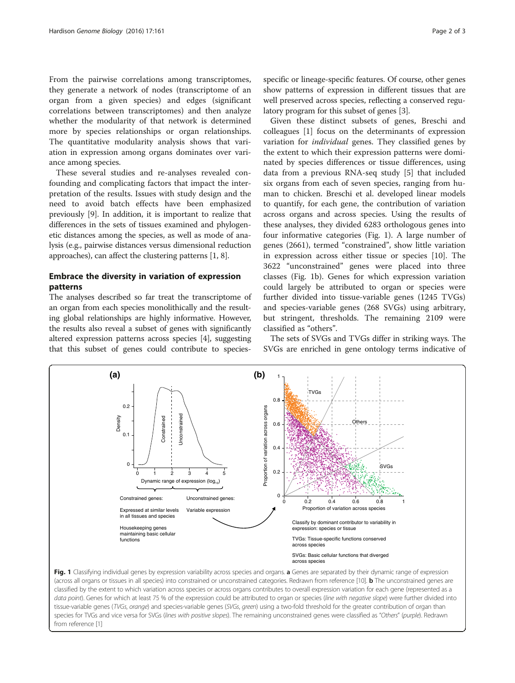From the pairwise correlations among transcriptomes, they generate a network of nodes (transcriptome of an organ from a given species) and edges (significant correlations between transcriptomes) and then analyze whether the modularity of that network is determined more by species relationships or organ relationships. The quantitative modularity analysis shows that variation in expression among organs dominates over variance among species.

These several studies and re-analyses revealed confounding and complicating factors that impact the interpretation of the results. Issues with study design and the need to avoid batch effects have been emphasized previously [\[9](#page-2-0)]. In addition, it is important to realize that differences in the sets of tissues examined and phylogenetic distances among the species, as well as mode of analysis (e.g., pairwise distances versus dimensional reduction approaches), can affect the clustering patterns [[1, 8](#page-2-0)].

## Embrace the diversity in variation of expression patterns

The analyses described so far treat the transcriptome of an organ from each species monolithically and the resulting global relationships are highly informative. However, the results also reveal a subset of genes with significantly altered expression patterns across species [[4\]](#page-2-0), suggesting that this subset of genes could contribute to species-

from reference [[1](#page-2-0)]

specific or lineage-specific features. Of course, other genes show patterns of expression in different tissues that are well preserved across species, reflecting a conserved regulatory program for this subset of genes [\[3](#page-2-0)].

Given these distinct subsets of genes, Breschi and colleagues [[1\]](#page-2-0) focus on the determinants of expression variation for *individual* genes. They classified genes by the extent to which their expression patterns were dominated by species differences or tissue differences, using data from a previous RNA-seq study [\[5](#page-2-0)] that included six organs from each of seven species, ranging from human to chicken. Breschi et al. developed linear models to quantify, for each gene, the contribution of variation across organs and across species. Using the results of these analyses, they divided 6283 orthologous genes into four informative categories (Fig. 1). A large number of genes (2661), termed "constrained", show little variation in expression across either tissue or species [\[10](#page-2-0)]. The 3622 "unconstrained" genes were placed into three classes (Fig. 1b). Genes for which expression variation could largely be attributed to organ or species were further divided into tissue-variable genes (1245 TVGs) and species-variable genes (268 SVGs) using arbitrary, but stringent, thresholds. The remaining 2109 were classified as "others".

The sets of SVGs and TVGs differ in striking ways. The SVGs are enriched in gene ontology terms indicative of